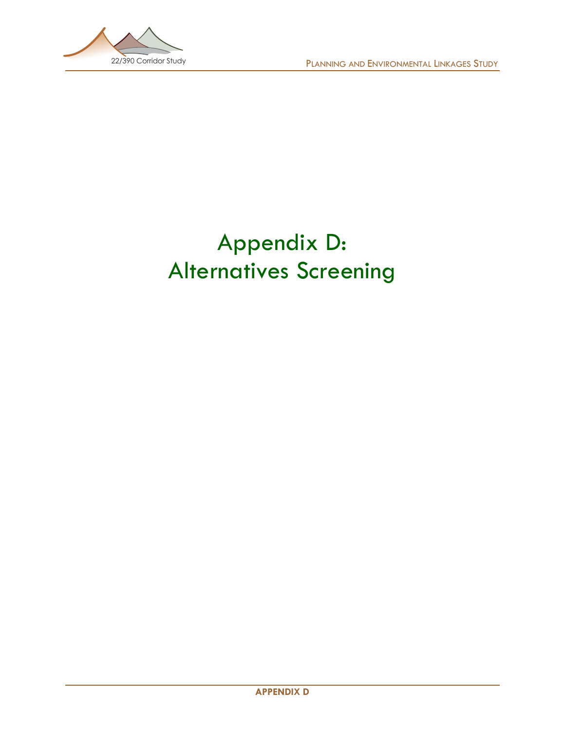

## Appendix D: Alternatives Screening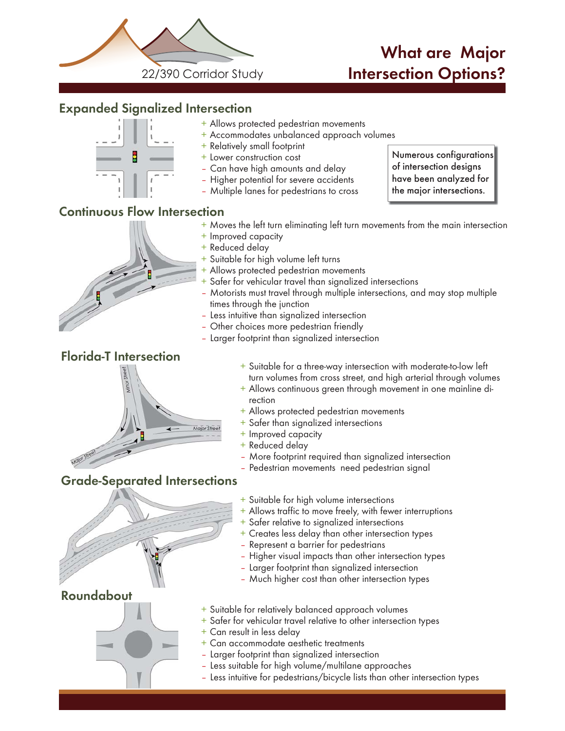

### What are Major Intersection Options?

### Expanded Signalized Intersection



- + Allows protected pedestrian movements
- + Accommodates unbalanced approach volumes
- + Relatively small footprint
- + Lower construction cost
- Can have high amounts and delay
- Higher potential for severe accidents
- Multiple lanes for pedestrians to cross

Numerous configurations

### Continuous Flow Intersection

- + Moves the left turn eliminating left turn movements from the main intersection
- + Improved capacity
- + Reduced delay
- + Suitable for high volume left turns
- + Allows protected pedestrian movements
- + Safer for vehicular travel than signalized intersections
- Motorists must travel through multiple intersections, and may stop multiple times through the junction

+ Suitable for a three-way intersection with moderate-to-low left turn volumes from cross street, and high arterial through volumes + Allows continuous green through movement in one mainline di-

- Less intuitive than signalized intersection
- Other choices more pedestrian friendly

+ Improved capacity + Reduced delay

rection

- Larger footprint than signalized intersection
- Florida-T Intersection



Roundabout



+ Suitable for high volume intersections

+ Allows protected pedestrian movements + Safer than signalized intersections

+ Allows traffic to move freely, with fewer interruptions

– More footprint required than signalized intersection – Pedestrian movements need pedestrian signal

- + Safer relative to signalized intersections
- + Creates less delay than other intersection types
- Represent a barrier for pedestrians
- Higher visual impacts than other intersection types
- Larger footprint than signalized intersection
- Much higher cost than other intersection types
- + Suitable for relatively balanced approach volumes
- + Safer for vehicular travel relative to other intersection types
- + Can result in less delay
- + Can accommodate aesthetic treatments
- Larger footprint than signalized intersection
- Less suitable for high volume/multilane approaches
- Less intuitive for pedestrians/bicycle lists than other intersection types

of intersection designs have been analyzed for the major intersections.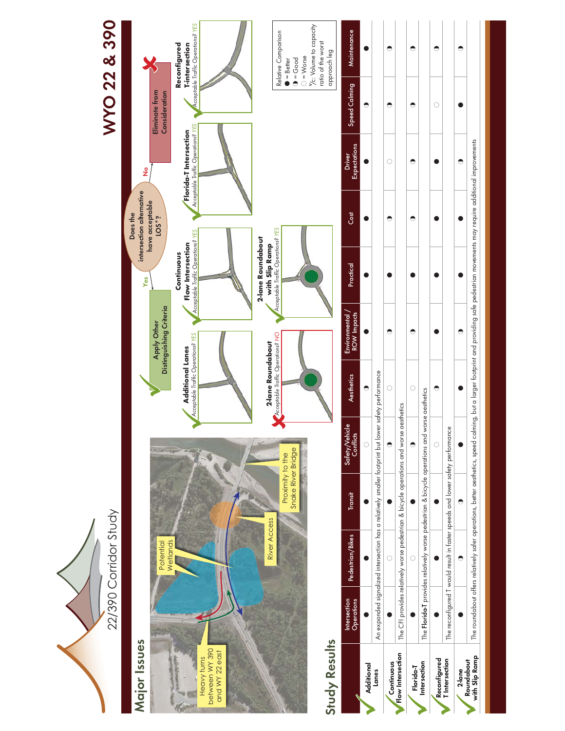

# WYO 22 & 390 WYO 22 & 390



Reconfigured T Intersection

 $\sum_{n=1}^{\infty}$ 

2-lane Roundabout with Slip Ramp

Roundabout<br>with Slip Ramp

The reconfigured T would result in faster speeds and lower safety performance

The reconfigured T would result in faster speeds and lower safety performance

 $\bullet$ 

 $\bullet$ 

 $\circ$ 

 $\bullet$ 

 $\bullet$ 

 $\bullet$ 

 $\bullet$ 

 $\circlearrowright$ 

 $\bullet$ 

 $\bullet$ 

 $\bullet$ 

 $\bullet$ 

 $\bullet$ 

 $\bullet$ 

 $\bullet$ 

 $\bullet$ 

 $\bullet$ 

 $\bullet$ 

 $\bullet$ 

 $\bullet$ 

 $\bullet$ 

 $\bullet$ 

The roundabout offers relatively safer operations, better aesthetics, speed calming, but a larger footprint and providing safe pedestrian movements may require additional improvements

The roundabout offers relatively safer operations, better aesthetics, speed calming, but a larger footprint and providing safe pedestrian movements may require additional improvements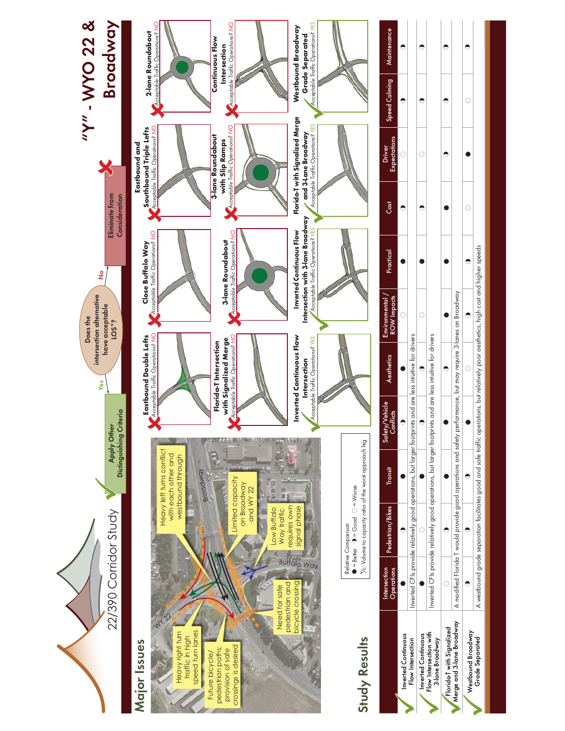